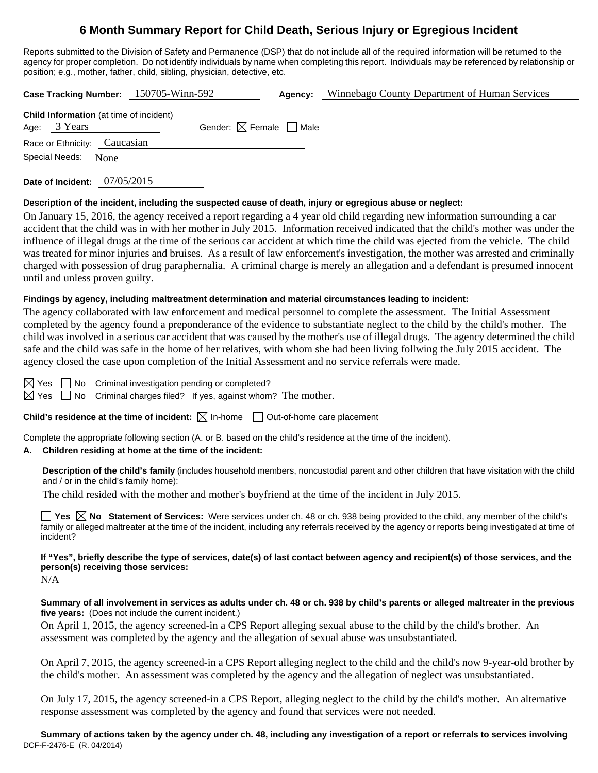# **6 Month Summary Report for Child Death, Serious Injury or Egregious Incident**

Reports submitted to the Division of Safety and Permanence (DSP) that do not include all of the required information will be returned to the agency for proper completion. Do not identify individuals by name when completing this report. Individuals may be referenced by relationship or position; e.g., mother, father, child, sibling, physician, detective, etc.

| Case Tracking Number: 150705-Winn-592          |                                        | Agency: | Winnebago County Department of Human Services |
|------------------------------------------------|----------------------------------------|---------|-----------------------------------------------|
| <b>Child Information</b> (at time of incident) |                                        |         |                                               |
| Age: 3 Years                                   | Gender: $\boxtimes$ Female $\Box$ Male |         |                                               |
| Race or Ethnicity: Caucasian                   |                                        |         |                                               |
| Special Needs:<br>None                         |                                        |         |                                               |
|                                                |                                        |         |                                               |

**Date of Incident:** 07/05/2015

### **Description of the incident, including the suspected cause of death, injury or egregious abuse or neglect:**

On January 15, 2016, the agency received a report regarding a 4 year old child regarding new information surrounding a car accident that the child was in with her mother in July 2015. Information received indicated that the child's mother was under the influence of illegal drugs at the time of the serious car accident at which time the child was ejected from the vehicle. The child was treated for minor injuries and bruises. As a result of law enforcement's investigation, the mother was arrested and criminally charged with possession of drug paraphernalia. A criminal charge is merely an allegation and a defendant is presumed innocent until and unless proven guilty.

### **Findings by agency, including maltreatment determination and material circumstances leading to incident:**

The agency collaborated with law enforcement and medical personnel to complete the assessment. The Initial Assessment completed by the agency found a preponderance of the evidence to substantiate neglect to the child by the child's mother. The child was involved in a serious car accident that was caused by the mother's use of illegal drugs. The agency determined the child safe and the child was safe in the home of her relatives, with whom she had been living follwing the July 2015 accident. The agency closed the case upon completion of the Initial Assessment and no service referrals were made.

 $\boxtimes$  Yes  $\Box$  No Criminal investigation pending or completed?

 $\boxtimes$  Yes  $\Box$  No Criminal charges filed? If yes, against whom? The mother.

### **Child's residence at the time of incident:**  $\boxtimes$  In-home  $\Box$  Out-of-home care placement

Complete the appropriate following section (A. or B. based on the child's residence at the time of the incident).

### **A. Children residing at home at the time of the incident:**

**Description of the child's family** (includes household members, noncustodial parent and other children that have visitation with the child and / or in the child's family home):

The child resided with the mother and mother's boyfriend at the time of the incident in July 2015.

**Yes**  $\boxtimes$  **No** Statement of Services: Were services under ch. 48 or ch. 938 being provided to the child, any member of the child's family or alleged maltreater at the time of the incident, including any referrals received by the agency or reports being investigated at time of incident?

**If "Yes", briefly describe the type of services, date(s) of last contact between agency and recipient(s) of those services, and the person(s) receiving those services:**

N/A

**Summary of all involvement in services as adults under ch. 48 or ch. 938 by child's parents or alleged maltreater in the previous five years:** (Does not include the current incident.)

On April 1, 2015, the agency screened-in a CPS Report alleging sexual abuse to the child by the child's brother. An assessment was completed by the agency and the allegation of sexual abuse was unsubstantiated.

On April 7, 2015, the agency screened-in a CPS Report alleging neglect to the child and the child's now 9-year-old brother by the child's mother. An assessment was completed by the agency and the allegation of neglect was unsubstantiated.

On July 17, 2015, the agency screened-in a CPS Report, alleging neglect to the child by the child's mother. An alternative response assessment was completed by the agency and found that services were not needed.

DCF-F-2476-E (R. 04/2014) **Summary of actions taken by the agency under ch. 48, including any investigation of a report or referrals to services involving**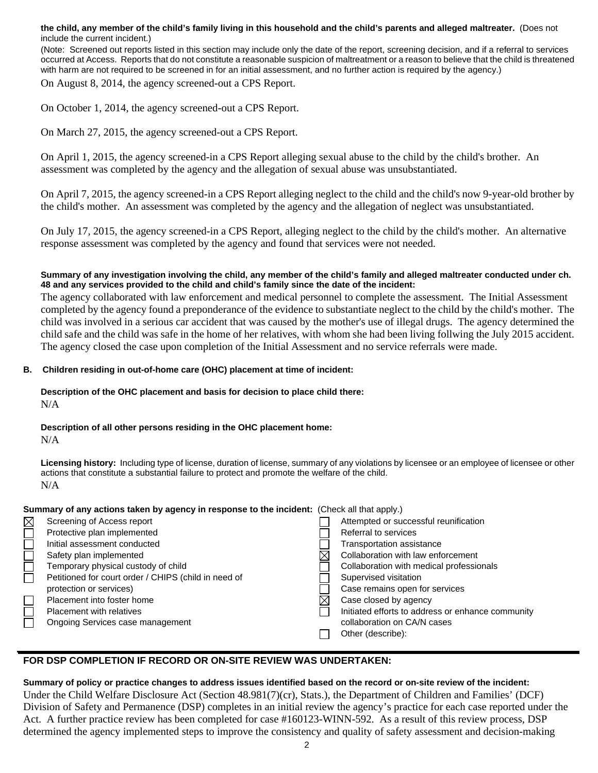**the child, any member of the child's family living in this household and the child's parents and alleged maltreater.** (Does not include the current incident.)

(Note: Screened out reports listed in this section may include only the date of the report, screening decision, and if a referral to services occurred at Access. Reports that do not constitute a reasonable suspicion of maltreatment or a reason to believe that the child is threatened with harm are not required to be screened in for an initial assessment, and no further action is required by the agency.)

On August 8, 2014, the agency screened-out a CPS Report.

On October 1, 2014, the agency screened-out a CPS Report.

On March 27, 2015, the agency screened-out a CPS Report.

On April 1, 2015, the agency screened-in a CPS Report alleging sexual abuse to the child by the child's brother. An assessment was completed by the agency and the allegation of sexual abuse was unsubstantiated.

On April 7, 2015, the agency screened-in a CPS Report alleging neglect to the child and the child's now 9-year-old brother by the child's mother. An assessment was completed by the agency and the allegation of neglect was unsubstantiated.

On July 17, 2015, the agency screened-in a CPS Report, alleging neglect to the child by the child's mother. An alternative response assessment was completed by the agency and found that services were not needed.

#### **Summary of any investigation involving the child, any member of the child's family and alleged maltreater conducted under ch. 48 and any services provided to the child and child's family since the date of the incident:**

The agency collaborated with law enforcement and medical personnel to complete the assessment. The Initial Assessment completed by the agency found a preponderance of the evidence to substantiate neglect to the child by the child's mother. The child was involved in a serious car accident that was caused by the mother's use of illegal drugs. The agency determined the child safe and the child was safe in the home of her relatives, with whom she had been living follwing the July 2015 accident. The agency closed the case upon completion of the Initial Assessment and no service referrals were made.

### **B. Children residing in out-of-home care (OHC) placement at time of incident:**

**Description of the OHC placement and basis for decision to place child there:** N/A

## **Description of all other persons residing in the OHC placement home:**

N/A

**Licensing history:** Including type of license, duration of license, summary of any violations by licensee or an employee of licensee or other actions that constitute a substantial failure to protect and promote the welfare of the child. N/A

### **Summary of any actions taken by agency in response to the incident:** (Check all that apply.)

| Screening of Access report                           | Attempted or successful reunification             |
|------------------------------------------------------|---------------------------------------------------|
| Protective plan implemented                          | Referral to services                              |
| Initial assessment conducted                         | Transportation assistance                         |
| Safety plan implemented                              | Collaboration with law enforcement                |
| Temporary physical custody of child                  | Collaboration with medical professionals          |
| Petitioned for court order / CHIPS (child in need of | Supervised visitation                             |
| protection or services)                              | Case remains open for services                    |
| Placement into foster home                           | Case closed by agency                             |
| Placement with relatives                             | Initiated efforts to address or enhance community |
| Ongoing Services case management                     | collaboration on CA/N cases                       |
|                                                      | Other (describe):                                 |

## **FOR DSP COMPLETION IF RECORD OR ON-SITE REVIEW WAS UNDERTAKEN:**

### **Summary of policy or practice changes to address issues identified based on the record or on-site review of the incident:**

Under the Child Welfare Disclosure Act (Section 48.981(7)(cr), Stats.), the Department of Children and Families' (DCF) Division of Safety and Permanence (DSP) completes in an initial review the agency's practice for each case reported under the Act. A further practice review has been completed for case #160123-WINN-592. As a result of this review process, DSP determined the agency implemented steps to improve the consistency and quality of safety assessment and decision-making